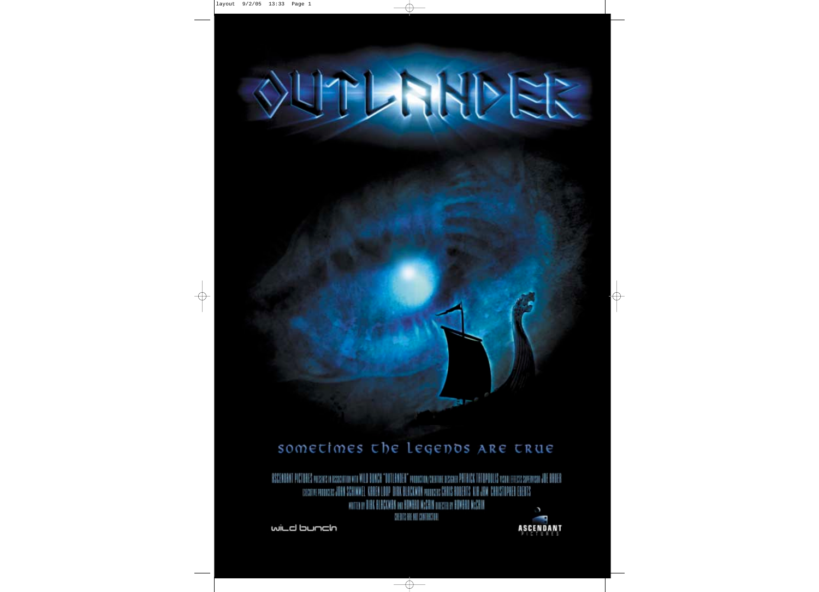

 $\Rightarrow$ 

# OUTLANDER

# sometimes the Legenos ARE true

RSCENDANT PICTORES POSSITS IN ISSUEDITION WITH WILD BUNCH "DOTLENDER" ANDROXION/COEDINE DISIGNER PRITRICK TRIEPROLIS VISINI EFFECIS SIPERVISIN JOE BRUER DERTS KID JAN CHRISTOPHER EDERTS BI BCKWHN poemerer CHINIS HI FORTHER PRODUCTS JUSTS. WOTTEN OF DIRK BLBCKMBK ONE HOMERD MCCRIK UNICTED BY BOMBAD MCCRIH  $\circ$ 医巨茎链 相 计用纸机机

 $\rightarrow$ 

wild bunch



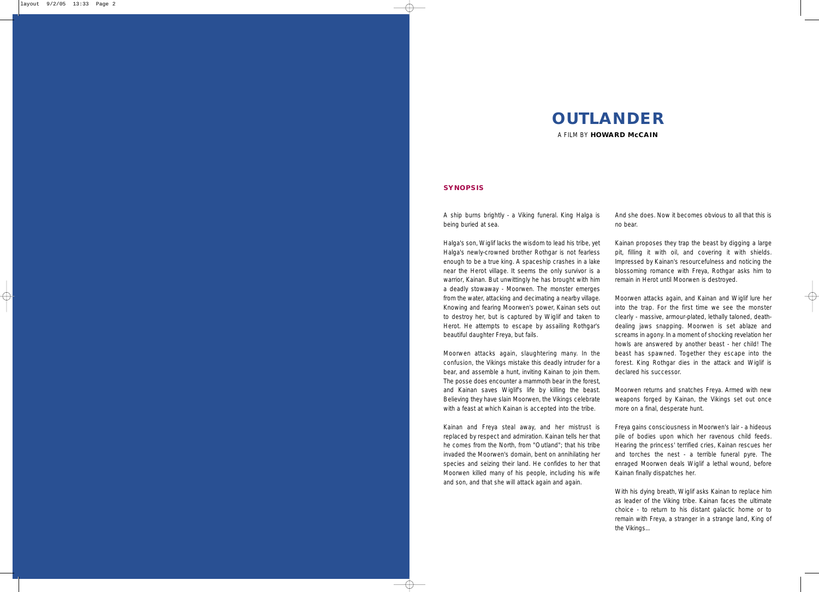### **SYNOPSIS**

A ship burns brightly - a Viking funeral. King Halga is being buried at sea. And she does. Now it becomes obvious to all that this is no bear.

Halga's son, Wiglif lacks the wisdom to lead his tribe, yet Halga's newly-crowned brother Rothgar is not fearless enough to be a true king. A spaceship crashes in a lake near the Herot village. It seems the only survivor is a warrior, Kainan. But unwittingly he has brought with him a deadly stowaway - Moorwen. The monster emerges from the water, attacking and decimating a nearby village. Knowing and fearing Moorwen's power, Kainan sets out to destroy her, but is captured by Wiglif and taken to Herot. He attempts to escape by assailing Rothgar's beautiful daughter Freya, but fails. Moorwen attacks again, slaughtering many. In the Kainan proposes they trap the beast by digging a large pit, filling it with oil, and covering it with shields. Impressed by Kainan's resourcefulness and noticing the blossoming romance with Freya, Rothgar asks him to remain in Herot until Moorwen is destroyed. Moorwen attacks again, and Kainan and Wiglif lure her into the trap. For the first time we see the monster clearly - massive, armour-plated, lethally taloned, deathdealing jaws snapping. Moorwen is set ablaze and screams in agony. In a moment of shocking revelation her howls are answered by another beast - her child! The beast has spawned. Together they escape into the forest. King Rothgar dies in the attack and Wiglif is declared his successor.

confusion, the Vikings mistake this deadly intruder for a bear, and assemble a hunt, inviting Kainan to join them. The posse does encounter a mammoth bear in the forest, and Kainan saves Wiglif's life by killing the beast. Believing they have slain Moorwen, the Vikings celebrate with a feast at which Kainan is accepted into the tribe. Moorwen returns and snatches Freya. Armed with new weapons forged by Kainan, the Vikings set out once more on a final, desperate hunt.

Kainan and Freya steal away, and her mistrust is replaced by respect and admiration. Kainan tells her that he comes from the North, from "Outland"; that his tribe invaded the Moorwen's domain, bent on annihilating her species and seizing their land. He confides to her that Moorwen killed many of his people, including his wife and son, and that she will attack again and again. Freya gains consciousness in Moorwen's lair - a hideous pile of bodies upon which her ravenous child feeds. Hearing the princess' terrified cries, Kainan rescues her and torches the nest - a terrible funeral pyre. The enraged Moorwen deals Wiglif a lethal wound, before Kainan finally dispatches her.

> With his dying breath, Wiglif asks Kainan to replace him as leader of the Viking tribe. Kainan faces the ultimate choice - to return to his distant galactic home or to remain with Freya, a stranger in a strange land, King of the Vikings...

# **OUTLANDER**

A FILM BY **HOWARD McCAIN**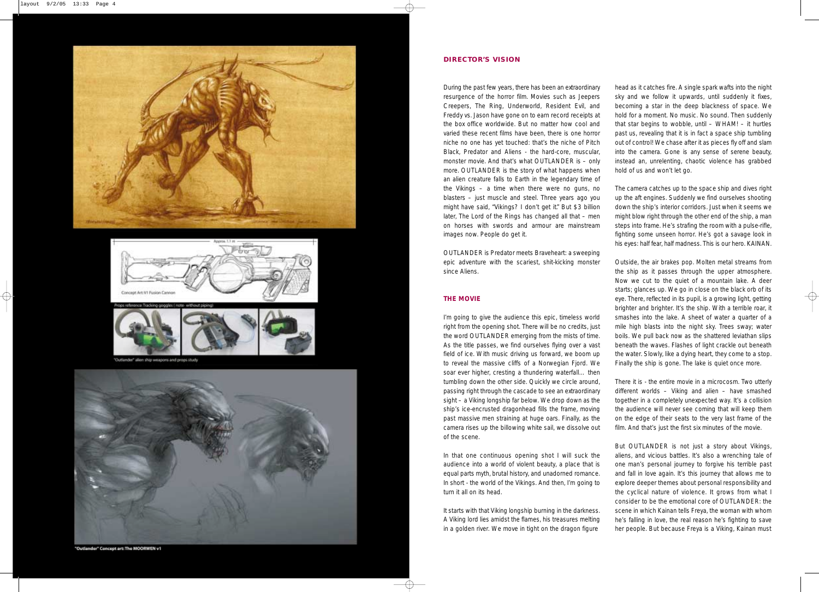### **DIRECTOR'S VISION**

During the past few years, there has been an extraordinary resurgence of the horror film. Movies such as Jeepers Creepers, The Ring, Underworld, Resident Evil, and Freddy vs. Jason have gone on to earn record receipts at the box office worldwide. But no matter how cool and varied these recent films have been, there is one horror niche no one has yet touched: that's the niche of Pitch Black, Predator and Aliens - the hard-core, muscular, monster movie. And that's what OUTLANDER is – only more. OUTLANDER is the story of what happens when an alien creature falls to Earth in the legendary time of the Vikings – a time when there were no guns, no blasters – just muscle and steel. Three years ago you might have said, *"Vikings? I don't get it."* But \$3 billion later, The Lord of the Rings has changed all that – men on horses with swords and armour are mainstream images now. People do get it. head as it catches fire. A single spark wafts into the night sky and we follow it upwards, until suddenly it fixes, becoming a star in the deep blackness of space. We hold for a moment. No music. No sound. Then suddenly that star begins to wobble, until – WHAM! – it hurtles past us, revealing that it is in fact a space ship tumbling out of control! We chase after it as pieces fly off and slam into the camera. Gone is any sense of serene beauty, instead an, unrelenting, chaotic violence has grabbed hold of us and won't let go. The camera catches up to the space ship and dives right up the aft engines. Suddenly we find ourselves shooting down the ship's interior corridors. Just when it seems we might blow right through the other end of the ship, a man steps into frame. He's strafing the room with a pulse-rifle, fighting some unseen horror. He's got a savage look in his eyes: half fear, half madness. This is our hero. KAINAN.

OUTLANDER is Predator meets Braveheart: a sweeping epic adventure with the scariest, shit-kicking monster since Aliens. **THE MOVIE** I'm going to give the audience this epic, timeless world right from the opening shot. There will be no credits, just the word OUTLANDER emerging from the mists of time. As the title passes, we find ourselves flying over a vast field of ice. With music driving us forward, we boom up to reveal the massive cliffs of a Norwegian Fjord. We Outside, the air brakes pop. Molten metal streams from the ship as it passes through the upper atmosphere. Now we cut to the quiet of a mountain lake. A deer starts; glances up. We go in close on the black orb of its eye. There, reflected in its pupil, is a growing light, getting brighter and brighter. It's the ship. With a terrible roar, it smashes into the lake. A sheet of water a quarter of a mile high blasts into the night sky. Trees sway; water boils. We pull back now as the shattered leviathan slips beneath the waves. Flashes of light crackle out beneath the water. Slowly, like a dying heart, they come to a stop. Finally the ship is gone. The lake is quiet once more.

soar ever higher, cresting a thundering waterfall… then tumbling down the other side. Quickly we circle around, passing right through the cascade to see an extraordinary sight – a Viking longship far below. We drop down as the ship's ice-encrusted dragonhead fills the frame, moving past massive men straining at huge oars. Finally, as the camera rises up the billowing white sail, we dissolve out of the scene. There it is - the entire movie in a microcosm. Two utterly different worlds – Viking and alien – have smashed together in a completely unexpected way. It's a collision the audience will never see coming that will keep them on the edge of their seats to the very last frame of the film. And that's just the first six minutes of the movie.

In that one continuous opening shot I will suck the audience into a world of violent beauty, a place that is equal parts myth, brutal history, and unadorned romance. In short - the world of the Vikings. And then, I'm going to turn it all on its head. It starts with that Viking longship burning in the darkness. A Viking lord lies amidst the flames, his treasures melting in a golden river. We move in tight on the dragon figure But OUTLANDER is not just a story about Vikings, aliens, and vicious battles. It's also a wrenching tale of one man's personal journey to forgive his terrible past and fall in love again. It's this journey that allows me to explore deeper themes about personal responsibility and the cyclical nature of violence. It grows from what I consider to be the emotional core of OUTLANDER: the scene in which Kainan tells Freya, the woman with whom he's falling in love, the real reason he's fighting to save her people. But because Freya is a Viking, Kainan must







Outlander" alien ship weapons and props study



"Outlander" Concept art: The MOORWEN v1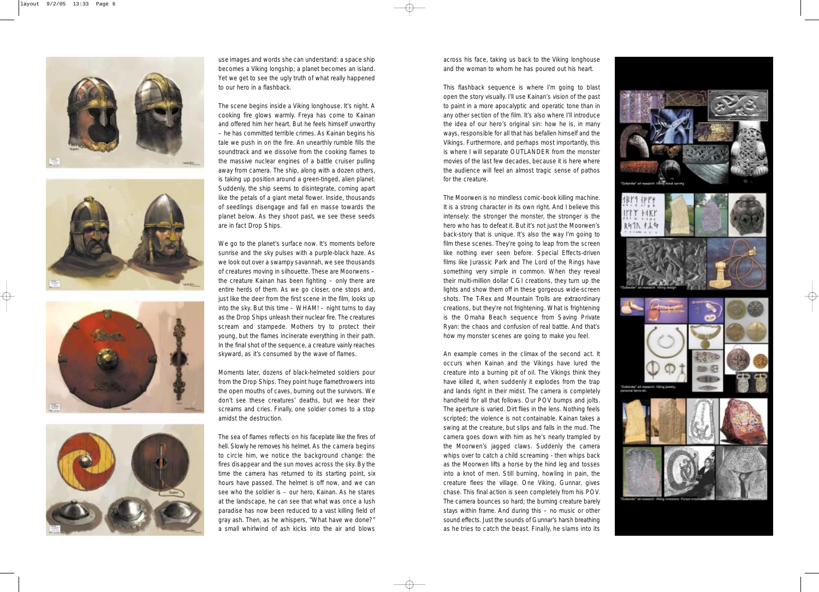across his face, taking us back to the Viking longhouse and the woman to whom he has poured out his heart.

This flashback sequence is where I'm going to blast open the story visually. I'll use Kainan's vision of the past to paint in a more apocalyptic and operatic tone than in any other section of the film. It's also where I'll introduce the idea of our hero's original sin: how he is, in many ways, responsible for all that has befallen himself and the Vikings. Furthermore, and perhaps most importantly, this is where I will separate OUTLANDER from the monster movies of the last few decades, because it is here where the audience will feel an almost tragic sense of pathos for the creature.

The Moorwen is no mindless comic-book killing machine. It is a strong character in its own right. And I believe this intensely: the stronger the monster, the stronger is the hero who has to defeat it. But it's not just the Moorwen's back-story that is unique. It's also the way I'm going to film these scenes. They're going to leap from the screen like nothing ever seen before. Special Effects-driven films like Jurassic Park and The Lord of the Rings have something very simple in common. When they reveal their multi-million dollar CGI creations, they turn up the lights and show them off in these gorgeous wide-screen shots. The T-Rex and Mountain Trolls are extraordinary creations, but they're not frightening. What is frightening is the Omaha Beach sequence from Saving Private Ryan: the chaos and confusion of real battle. And that's how my monster scenes are going to make you feel.

An example comes in the climax of the second act. It occurs when Kainan and the Vikings have lured the creature into a burning pit of oil. The Vikings think they have killed it, when suddenly it explodes from the trap and lands right in their midst. The camera is completely handheld for all that follows. Our POV bumps and jolts. The aperture is varied. Dirt flies in the lens. Nothing feels scripted; the violence is not containable. Kainan takes a swing at the creature, but slips and falls in the mud. The camera goes down with him as he's nearly trampled by the Moorwen's jagged claws. Suddenly the camera whips over to catch a child screaming - then whips back as the Moorwen lifts a horse by the hind leg and tosses into a knot of men. Still burning, howling in pain, the creature flees the village. One Viking, Gunnar, gives chase. This final action is seen completely from his POV. The camera bounces so hard; the burning creature barely stays within frame. And during this – no music or other sound effects. Just the sounds of Gunnar's harsh breathing as he tries to catch the beast. Finally, he slams into its



We go to the planet's surface now. It's moments before sunrise and the sky pulses with a purple-black haze. As we look out over a swampy savannah, we see thousands of creatures moving in silhouette. These are Moorwens – the creature Kainan has been fighting – only there are entire herds of them. As we go closer, one stops and, just like the deer from the first scene in the film, looks up into the sky. But this time – WHAM! – night turns to day as the Drop Ships unleash their nuclear fire. The creatures scream and stampede. Mothers try to protect their young, but the flames incinerate everything in their path. In the final shot of the sequence, a creature vainly reaches skyward, as it's consumed by the wave of flames.

use images and words she can understand: a space ship becomes a Viking longship; a planet becomes an island. Yet we get to see the ugly truth of what really happened to our hero in a flashback.

The scene begins inside a Viking longhouse. It's night. A cooking fire glows warmly. Freya has come to Kainan and offered him her heart. But he feels himself unworthy – he has committed terrible crimes. As Kainan begins his tale we push in on the fire. An unearthly rumble fills the soundtrack and we dissolve from the cooking flames to the massive nuclear engines of a battle cruiser pulling away from camera. The ship, along with a dozen others, is taking up position around a green-tinged, alien planet. Suddenly, the ship seems to disintegrate, coming apart like the petals of a giant metal flower. Inside, thousands of seedlings disengage and fall en masse towards the planet below. As they shoot past, we see these seeds are in fact Drop Ships.

Moments later, dozens of black-helmeted soldiers pour from the Drop Ships. They point huge flamethrowers into the open mouths of caves, burning out the survivors. We don't see these creatures' deaths, but we hear their screams and cries. Finally, one soldier comes to a stop amidst the destruction.

The sea of flames reflects on his faceplate like the fires of hell. Slowly he removes his helmet. As the camera begins to circle him, we notice the background change: the fires disappear and the sun moves across the sky. By the time the camera has returned to its starting point, six hours have passed. The helmet is off now, and we can see who the soldier is – our hero, Kainan. As he stares at the landscape, he can see that what was once a lush paradise has now been reduced to a vast killing field of gray ash. Then, as he whispers, *"What have we done?"* a small whirlwind of ash kicks into the air and blows





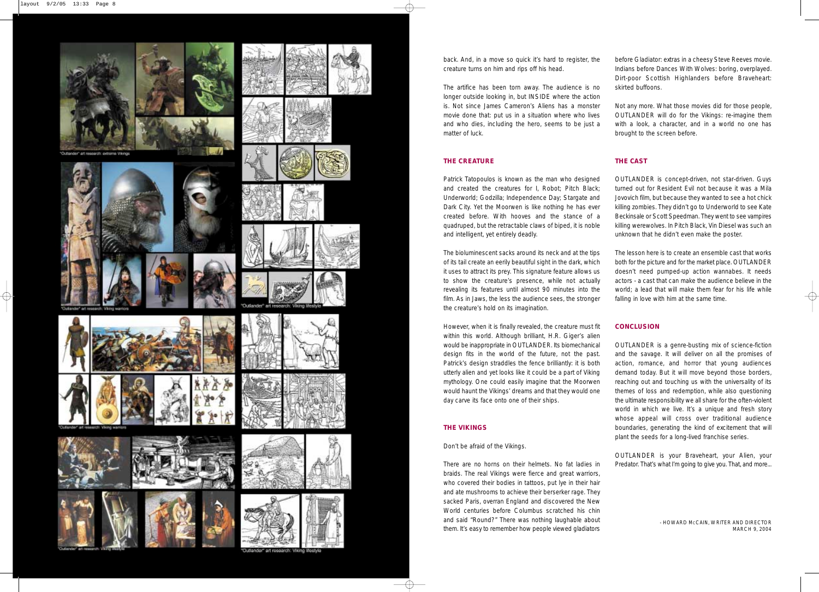# **THE CREATURE**

matter of luck. brought to the screen before.

Patrick Tatopoulos is known as the man who designed and created the creatures for I, Robot; Pitch Black; Underworld; Godzilla; Independence Day; Stargate and Dark City. Yet the Moorwen is like nothing he has ever created before. With hooves and the stance of a quadruped, but the retractable claws of biped, it is noble and intelligent, yet entirely deadly. OUTLANDER is concept-driven, not star-driven. Guys turned out for Resident Evil not because it was a Mila Jovovich film, but because they wanted to see a hot chick killing zombies. They didn't go to Underworld to see Kate Beckinsale or Scott Speedman. They went to see vampires killing werewolves. In Pitch Black, Vin Diesel was such an unknown that he didn't even make the poster.

Don't be afraid of the Vikings.

The bioluminescent sacks around its neck and at the tips of its tail create an eerily beautiful sight in the dark, which it uses to attract its prey. This signature feature allows us to show the creature's presence, while not actually revealing its features until almost 90 minutes into the film. As in Jaws, the less the audience sees, the stronger the creature's hold on its imagination. The lesson here is to create an ensemble cast that works both for the picture and for the market place. OUTLANDER doesn't need pumped-up action wannabes. It needs actors - a cast that can make the audience believe in the world; a lead that will make them fear for his life while falling in love with him at the same time.

However, when it is finally revealed, the creature must fit within this world. Although brilliant, H.R. Giger's alien would be inappropriate in OUTLANDER. Its biomechanical design fits in the world of the future, not the past. Patrick's design straddles the fence brilliantly: it is both utterly alien and yet looks like it could be a part of Viking mythology. One could easily imagine that the Moorwen would haunt the Vikings' dreams and that they would one day carve its face onto one of their ships. **THE VIKINGS CONCLUSION** OUTLANDER is a genre-busting mix of science-fiction and the savage. It will deliver on all the promises of action, romance, and horror that young audiences demand today. But it will move beyond those borders, reaching out and touching us with the universality of its themes of loss and redemption, while also questioning the ultimate responsibility we all share for the often-violent world in which we live. It's a unique and fresh story whose appeal will cross over traditional audience boundaries, generating the kind of excitement that will plant the seeds for a long-lived franchise series.

# **THE CAST**

There are no horns on their helmets. No fat ladies in braids. The real Vikings were fierce and great warriors, who covered their bodies in tattoos, put lye in their hair and ate mushrooms to achieve their berserker rage. They sacked Paris, overran England and discovered the New World centuries before Columbus scratched his chin and said *"Round?"* There was nothing laughable about them. It's easy to remember how people viewed gladiators OUTLANDER is your Braveheart, your Alien, your Predator. That's what I'm going to give you. That, and more... - HOWARD MCCAIN, WRITER AND DIRECTOR MARCH 9, 2004



back. And, in a move so quick it's hard to register, the creature turns on him and rips off his head. The artifice has been torn away. The audience is no longer outside looking in, but INSIDE where the action is. Not since James Cameron's Aliens has a monster movie done that: put us in a situation where who lives and who dies, including the hero, seems to be just a before Gladiator: extras in a cheesy Steve Reeves movie. Indians before Dances With Wolves: boring, overplayed. Dirt-poor Scottish Highlanders before Braveheart: skirted buffoons. Not any more. What those movies did for those people, OUTLANDER will do for the Vikings: re-imagine them with a look, a character, and in a world no one has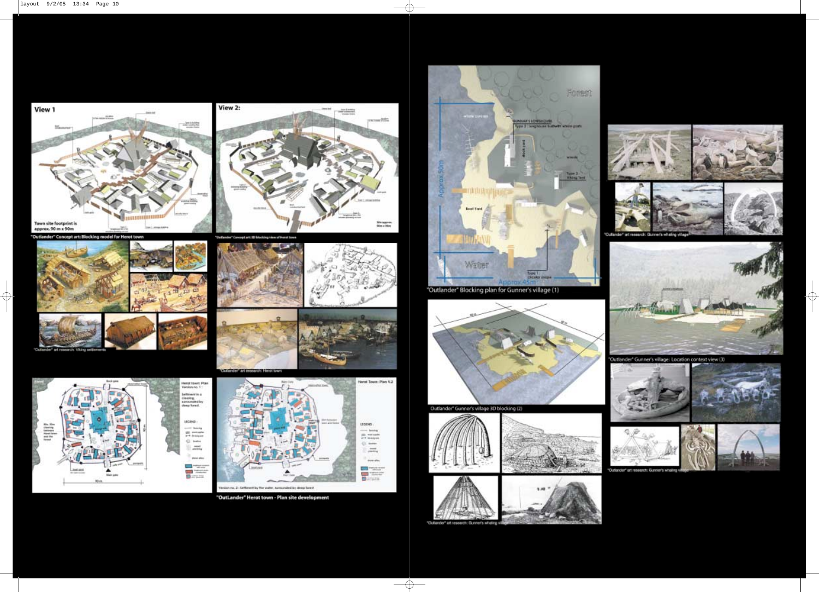View 2: View 1  $-2713872$ Town site footprint is<br>approx, 90 m x 90m **Set L** 

utlander" Concept art: Blocking n odel for Herot to



 $\oplus$ 





**Chinese** × er.



Herot Town: Plan V.2 LEGEND: ing books  $\stackrel{\rm def}{\longrightarrow}$  metande  $\mathbb{Q}$  , now  $\frac{1}{\sqrt{2}}$ ove ster 語 no. 2: Settment by the water, sustainated by deep forest

"OutLander" Herot town - Plan site development



"Outlander" Blocking plan for Gunner's village (1)



Outlander" Gunner's village 3D blocking (2)



Outland

 $\overline{\bigoplus}$ 





Outlander" Gunner's village: Location context view (3)











 $\overline{\varphi}$ 

Outlander art research: Gunner's whaling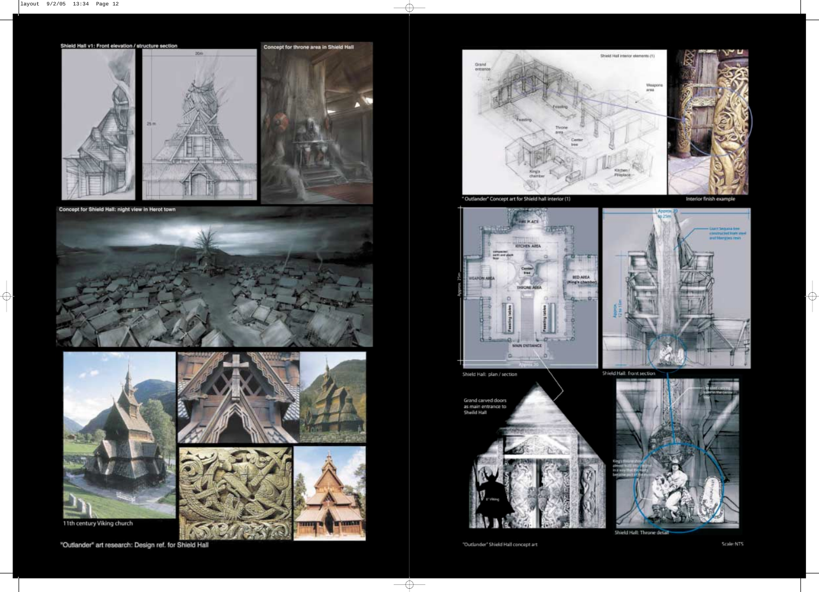



Concept for Shield Hall: night view in Herot town





11th century Viking church







"Outlander" art research: Design ref. for Shield Hall



\* Outlander\* Concept art for Shield hall interior (1)



Shield Hall: plan / section

Grand carved doors<br>as main entrance to<br>Sheild Hall



"Outlander" Shield Hall concept art

 $\overline{\bigoplus}$ 

Interior finish example

 $\phi$ 



Shield Hall: front section



Shield Hall: Throne detail

Scale:NTS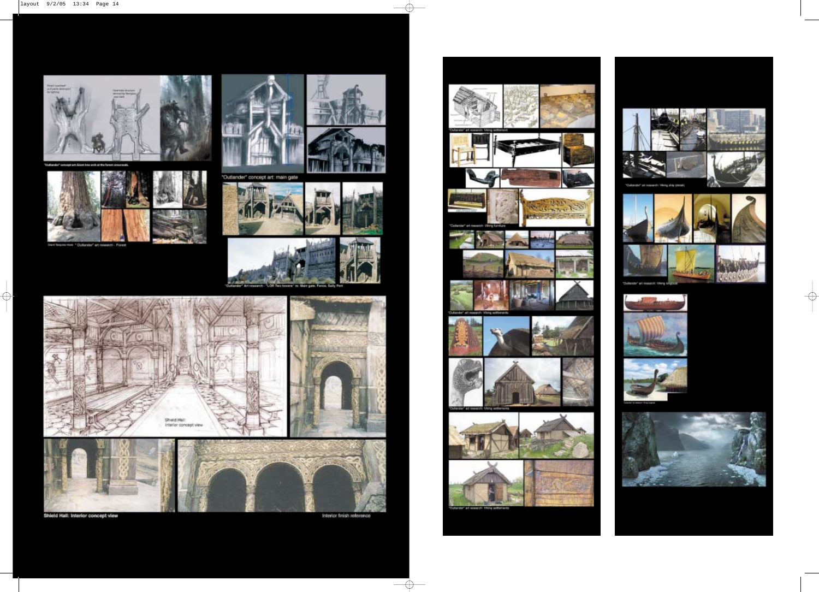



 $\bigoplus$ 





"Outlander" concept art: main gate









Shield Hall: Interior concept view

Interior finish reference

€





 $\Rightarrow$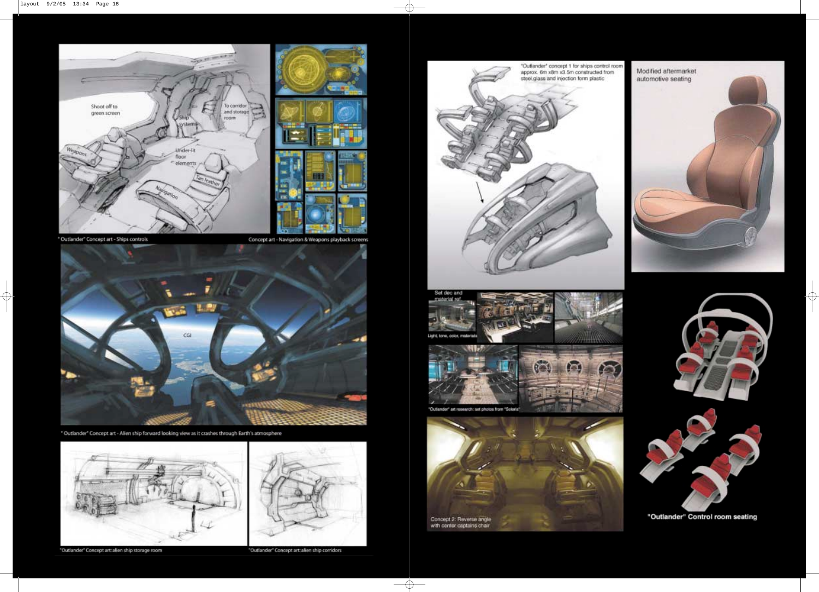



Concept art - Navigation & Weapons playback screens



\* Outlander\* Concept art - Alien ship forward looking view as it crashes through Earth's atmosphere



"Outlander" Concept art: alien ship storage room

"Outlander" Concept art: alien ship corridors

 $\overline{\bigoplus}$ 











 $\Rightarrow$ 



"Outlander" Control room seating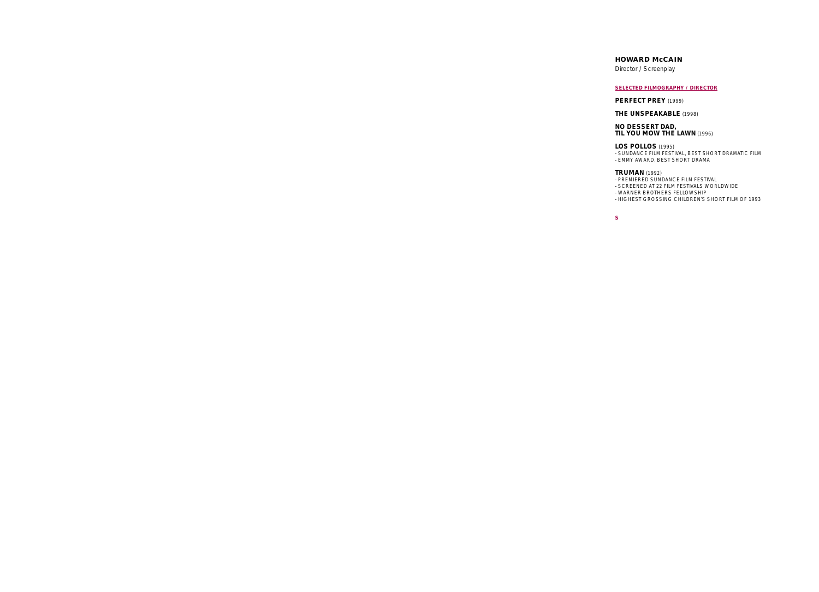# **HOWARD McCAIN**

Director / Screenplay

# **SELECTED FILMOGRAPHY / DIRECTOR**

### **PERFECT PREY** (1999)

# **THE UNSPEAKABLE** (1998)

**NO DESSERT DAD, TIL YOU MOW THE LAWN** (1996)

### **LOS POLLOS** (1995)

- SUNDANCE FILM FESTIVAL, BEST SHORT DRAMATIC FILM

- EMMY AWARD, BEST SHORT DRAMA

### **TRUMAN** (1992)

- PREMIERED SUNDANCE FILM FESTIVAL

- SCREENED AT 22 FILM FESTIVALS WORLDWIDE
- WARNER BROTHERS FELLOWSHIP
- HIGHEST GROSSING CHILDREN'S SHORT FILM OF 1993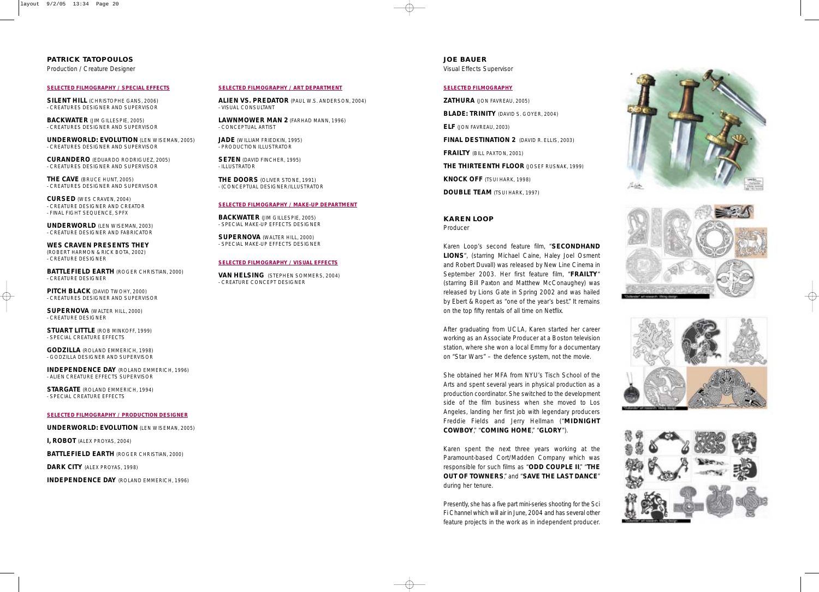**PATRICK TATOPOULOS** 

Production / Creature Designer

### **SELECTED FILMOGRAPHY / SPECIAL EFFECTS**

**SILENT HILL (CHRISTOPHE GANS, 2006)** - CREATURES DESIGNER AND SUPERVISOR

**BACKWATER** (JIM GILLESPIE, 2005) - CREATURES DESIGNER AND SUPERVISOR

**UNDERWORLD: EVOLUTION** (LEN WISEMAN, 2005) - CREATURES DESIGNER AND SUPERVISOR

**CURANDERO** (EDUARDO RODRIGUEZ, 2005) - CREATURES DESIGNER AND SUPERVISOR

**THE CAVE** (BRUCE HUNT, 2005) - CREATURES DESIGNER AND SUPERVISOR

**CURSED** (WES CRAVEN, 2004) - CREATURE DESIGNER AND CREATOR - FINAL FIGHT SEQUENCE, SPFX

**UNDERWORLD** (LEN WISEMAN, 2003) - CREATURE DESIGNER AND FABRICATOR

**WES CRAVEN PRESENTS THEY**  (ROBERT HARMON & RICK BOTA, 2002) - CREATURE DESIGNER

**BATTLEFIELD EARTH** (ROGER CHRISTIAN, 2000) - CREATURE DESIGNER

**PITCH BLACK** (DAVID TWOHY, 2000) - CREATURES DESIGNER AND SUPERVISOR

**SUPERNOVA** (WALTER HILL, 2000) - CREATURE DESIGNER

**STUART LITTLE** (ROB MINKOFF, 1999) - SPECIAL CREATURE EFFECTS

**GODZILLA** (ROLAND EMMERICH, 1998) - GODZILLA DESIGNER AND SUPERVISOR

**INDEPENDENCE DAY** (ROLAND EMMERICH, 1996) - ALIEN CREATURE EFFECTS SUPERVISOR

**STARGATE** (ROLAND EMMERICH, 1994) - SPECIAL CREATURE EFFECTS

### **SELECTED FILMOGRAPHY / PRODUCTION DESIGNER**

**UNDERWORLD: EVOLUTION** (LEN WISEMAN, 2005)

**I, ROBOT** (ALEX PROYAS, 2004)

**BATTLEFIELD EARTH** (ROGER CHRISTIAN, 2000)

**DARK CITY** (ALEX PROYAS, 1998)

**INDEPENDENCE DAY** (ROLAND EMMERICH, 1996)

### **SELECTED FILMOGRAPHY / ART DEPARTMENT**

**ALIEN VS. PREDATOR** (PAUL W.S. ANDERSON, 2004) - VISUAL CONSULTANT

**LAWNMOWER MAN 2** (FARHAD MANN, 1996) - CONCEPTUAL ARTIST

**JADE** (WILLIAM FRIEDKIN, 1995) - PRODUCTION ILLUSTRATOR

**SE7EN** (DAVID FINCHER, 1995) - ILLUSTRATOR

**THE DOORS** (OLIVER STONE, 1991) - (CONCEPTUAL DESIGNER/ILLUSTRATOR

### **SELECTED FILMOGRAPHY / MAKE-UP DEPARTMENT**

**BACKWATER** (JIM GILLESPIE, 2005) - SPECIAL MAKE-UP EFFECTS DESIGNER

**SUPERNOVA** (WALTER HILL, 2000) - SPECIAL MAKE-UP EFFECTS DESIGNER

### **SELECTED FILMOGRAPHY / VISUAL EFFECTS**

**VAN HELSING** (STEPHEN SOMMERS, 2004) - CREATURE CONCEPT DESIGNER

### **JOE BAUER**  Visual Effects Supervisor

### **SELECTED FILMOGRAPHY**

**ZATHURA** (JON FAVREAU, 2005) **BLADE: TRINITY** (DAVID S. GOYER, 2004) **ELF** (JON FAVREAU, 2003) **FINAL DESTINATION 2** (DAVID R. ELLIS, 2003) **FRAILTY** (BILL PAXTON, 2001) **THE THIRTEENTH FLOOR** (JOSEF RUSNAK, 1999) **KNOCK OFF** (TSUI HARK, 1998) **DOUBLE TEAM** (TSUI HARK, 1997)

### **KAREN LOOP**

Producer

Karen Loop's second feature film, "**SECONDHAND LIONS**", (starring Michael Caine, Haley Joel Osment and Robert Duvall) was released by New Line Cinema in September 2003. Her first feature film, "**FRAILTY**" (starring Bill Paxton and Matthew McConaughey) was released by Lions Gate in Spring 2002 and was hailed by Ebert & Ropert as "one of the year's best." It remains on the top fifty rentals of all time on Netflix.

After graduating from UCLA, Karen started her career working as an Associate Producer at a Boston television station, where she won a local Emmy for a documentary on "Star Wars" – the defence system, not the movie.

She obtained her MFA from NYU's Tisch School of the Arts and spent several years in physical production as a production coordinator. She switched to the development side of the film business when she moved to Los Angeles, landing her first job with legendary producers Freddie Fields and Jerry Hellman ("**MIDNIGHT COWBOY**," "**COMING HOME**," "**GLORY**").

Karen spent the next three years working at the Paramount-based Cort/Madden Company which was responsible for such films as "**ODD COUPLE II**," "**THE OUT OF TOWNERS**," and "**SAVE THE LAST DANCE**" during her tenure.

Presently, she has a five part mini-series shooting for the Sci Fi Channel which will air in June, 2004 and has several other feature projects in the work as in independent producer.





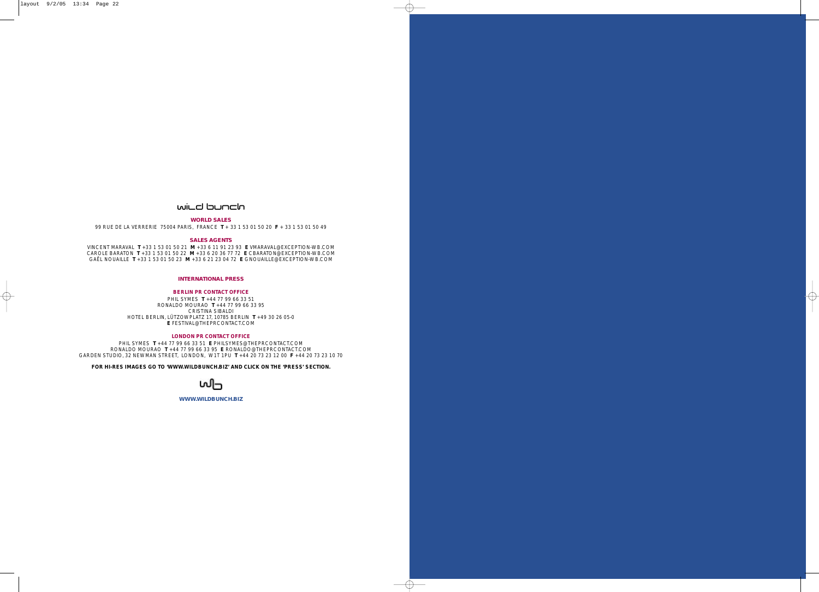# wild bunch

# **WORLD SALES**

99 RUE DE LA VERRERIE 75004 PARIS, FRANCE **T** + 33 1 53 01 50 20 **F** + 33 1 53 01 50 49

### **SALES AGENTS**

VINCENT MARAVAL **T** +33 1 53 01 50 21 **M** +33 6 11 91 23 93 **E** VMARAVAL@EXCEPTION-WB.COM CAROLE BARATON **T** +33 1 53 01 50 22 **M** +33 6 20 36 77 72 **E** CBARATON@EXCEPTION-WB.COM GAËL NOUAILLE **T** +33 1 53 01 50 23 **M** +33 6 21 23 04 72 **E** GNOUAILLE@EXCEPTION-WB.COM

### **INTERNATIONAL PRESS**

### **BERLIN PR CONTACT OFFICE**

PHIL SYMES **T** +44 77 99 66 33 51 RONALDO MOURAO **T** +44 77 99 66 33 95 CRISTINA SIBALDI HOTEL BERLIN, LÜTZOWPLATZ 17, 10785 BERLIN **T** +49 30 26 05-0 **E** FESTIVAL@THEPRCONTACT.COM

### **LONDON PR CONTACT OFFICE**

PHIL SYMES **T** +44 77 99 66 33 51 **E** PHILSYMES@THEPRCONTACT.COM RONALDO MOURAO **T** +44 77 99 66 33 95 **E** RONALDO@THEPRCONTACT.COM GARDEN STUDIO, 32 NEWMAN STREET, LONDON, W1T 1PU **T** +44 20 73 23 12 00 **F** +44 20 73 23 10 70

**FOR HI-RES IMAGES GO TO 'WWW.WILDBUNCH.BIZ' AND CLICK ON THE 'PRESS' SECTION.**



**WWW.WILDBUNCH.BIZ**

 $\oplus$ 

 $\bigoplus$